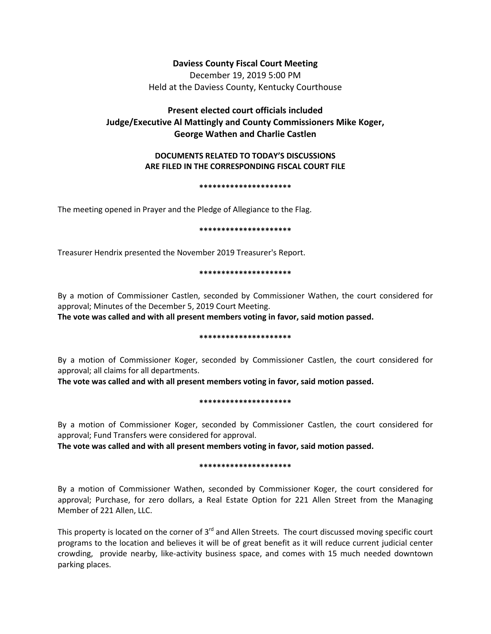# **Daviess County Fiscal Court Meeting**

December 19, 2019 5:00 PM Held at the Daviess County, Kentucky Courthouse

# **Present elected court officials included Judge/Executive Al Mattingly and County Commissioners Mike Koger, George Wathen and Charlie Castlen**

# **DOCUMENTS RELATED TO TODAY'S DISCUSSIONS ARE FILED IN THE CORRESPONDING FISCAL COURT FILE**

### **\*\*\*\*\*\*\*\*\*\*\*\*\*\*\*\*\*\*\*\*\***

The meeting opened in Prayer and the Pledge of Allegiance to the Flag.

## **\*\*\*\*\*\*\*\*\*\*\*\*\*\*\*\*\*\*\*\*\***

Treasurer Hendrix presented the November 2019 Treasurer's Report.

## **\*\*\*\*\*\*\*\*\*\*\*\*\*\*\*\*\*\*\*\*\***

By a motion of Commissioner Castlen, seconded by Commissioner Wathen, the court considered for approval; Minutes of the December 5, 2019 Court Meeting.

**The vote was called and with all present members voting in favor, said motion passed.** 

# **\*\*\*\*\*\*\*\*\*\*\*\*\*\*\*\*\*\*\*\*\***

By a motion of Commissioner Koger, seconded by Commissioner Castlen, the court considered for approval; all claims for all departments.

**The vote was called and with all present members voting in favor, said motion passed.** 

# **\*\*\*\*\*\*\*\*\*\*\*\*\*\*\*\*\*\*\*\*\***

By a motion of Commissioner Koger, seconded by Commissioner Castlen, the court considered for approval; Fund Transfers were considered for approval.

**The vote was called and with all present members voting in favor, said motion passed.** 

# **\*\*\*\*\*\*\*\*\*\*\*\*\*\*\*\*\*\*\*\*\***

By a motion of Commissioner Wathen, seconded by Commissioner Koger, the court considered for approval; Purchase, for zero dollars, a Real Estate Option for 221 Allen Street from the Managing Member of 221 Allen, LLC.

This property is located on the corner of 3<sup>rd</sup> and Allen Streets. The court discussed moving specific court programs to the location and believes it will be of great benefit as it will reduce current judicial center crowding, provide nearby, like-activity business space, and comes with 15 much needed downtown parking places.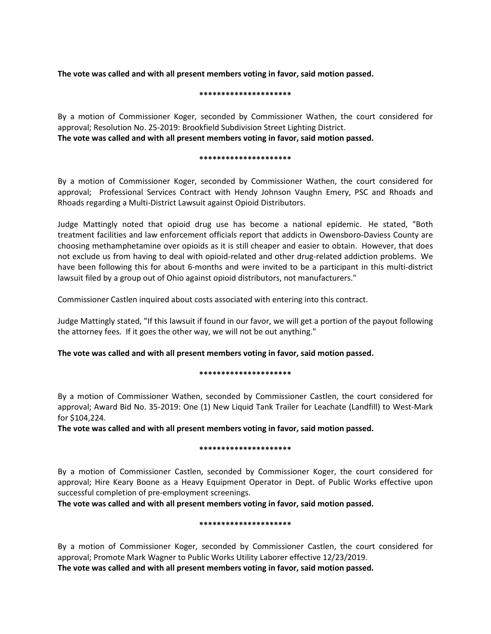**The vote was called and with all present members voting in favor, said motion passed.** 

## **\*\*\*\*\*\*\*\*\*\*\*\*\*\*\*\*\*\*\*\*\***

By a motion of Commissioner Koger, seconded by Commissioner Wathen, the court considered for approval; Resolution No. 25-2019: Brookfield Subdivision Street Lighting District. **The vote was called and with all present members voting in favor, said motion passed.** 

## **\*\*\*\*\*\*\*\*\*\*\*\*\*\*\*\*\*\*\*\*\***

By a motion of Commissioner Koger, seconded by Commissioner Wathen, the court considered for approval; Professional Services Contract with Hendy Johnson Vaughn Emery, PSC and Rhoads and Rhoads regarding a Multi-District Lawsuit against Opioid Distributors.

Judge Mattingly noted that opioid drug use has become a national epidemic. He stated, "Both treatment facilities and law enforcement officials report that addicts in Owensboro-Daviess County are choosing methamphetamine over opioids as it is still cheaper and easier to obtain. However, that does not exclude us from having to deal with opioid-related and other drug-related addiction problems. We have been following this for about 6-months and were invited to be a participant in this multi-district lawsuit filed by a group out of Ohio against opioid distributors, not manufacturers."

Commissioner Castlen inquired about costs associated with entering into this contract.

Judge Mattingly stated, "If this lawsuit if found in our favor, we will get a portion of the payout following the attorney fees. If it goes the other way, we will not be out anything."

**The vote was called and with all present members voting in favor, said motion passed.** 

# **\*\*\*\*\*\*\*\*\*\*\*\*\*\*\*\*\*\*\*\*\***

By a motion of Commissioner Wathen, seconded by Commissioner Castlen, the court considered for approval; Award Bid No. 35-2019: One (1) New Liquid Tank Trailer for Leachate (Landfill) to West-Mark for \$104,224.

**The vote was called and with all present members voting in favor, said motion passed.** 

# **\*\*\*\*\*\*\*\*\*\*\*\*\*\*\*\*\*\*\*\*\***

By a motion of Commissioner Castlen, seconded by Commissioner Koger, the court considered for approval; Hire Keary Boone as a Heavy Equipment Operator in Dept. of Public Works effective upon successful completion of pre-employment screenings.

**The vote was called and with all present members voting in favor, said motion passed.** 

# **\*\*\*\*\*\*\*\*\*\*\*\*\*\*\*\*\*\*\*\*\***

By a motion of Commissioner Koger, seconded by Commissioner Castlen, the court considered for approval; Promote Mark Wagner to Public Works Utility Laborer effective 12/23/2019. **The vote was called and with all present members voting in favor, said motion passed.**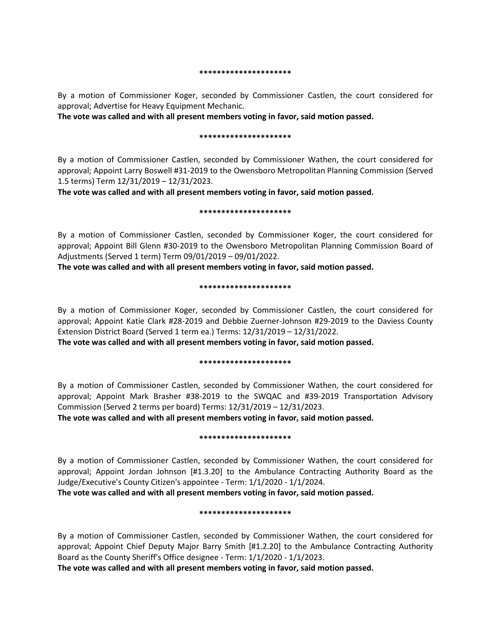#### **\*\*\*\*\*\*\*\*\*\*\*\*\*\*\*\*\*\*\*\*\***

By a motion of Commissioner Koger, seconded by Commissioner Castlen, the court considered for approval; Advertise for Heavy Equipment Mechanic.

**The vote was called and with all present members voting in favor, said motion passed.** 

## **\*\*\*\*\*\*\*\*\*\*\*\*\*\*\*\*\*\*\*\*\***

By a motion of Commissioner Castlen, seconded by Commissioner Wathen, the court considered for approval; Appoint Larry Boswell #31-2019 to the Owensboro Metropolitan Planning Commission (Served 1.5 terms) Term 12/31/2019 – 12/31/2023.

**The vote was called and with all present members voting in favor, said motion passed.** 

## **\*\*\*\*\*\*\*\*\*\*\*\*\*\*\*\*\*\*\*\*\***

By a motion of Commissioner Castlen, seconded by Commissioner Koger, the court considered for approval; Appoint Bill Glenn #30-2019 to the Owensboro Metropolitan Planning Commission Board of Adjustments (Served 1 term) Term 09/01/2019 – 09/01/2022.

**The vote was called and with all present members voting in favor, said motion passed.** 

## **\*\*\*\*\*\*\*\*\*\*\*\*\*\*\*\*\*\*\*\*\***

By a motion of Commissioner Koger, seconded by Commissioner Castlen, the court considered for approval; Appoint Katie Clark #28-2019 and Debbie Zuerner-Johnson #29-2019 to the Daviess County Extension District Board (Served 1 term ea.) Terms: 12/31/2019 – 12/31/2022.

**The vote was called and with all present members voting in favor, said motion passed.** 

## **\*\*\*\*\*\*\*\*\*\*\*\*\*\*\*\*\*\*\*\*\***

By a motion of Commissioner Castlen, seconded by Commissioner Wathen, the court considered for approval; Appoint Mark Brasher #38-2019 to the SWQAC and #39-2019 Transportation Advisory Commission (Served 2 terms per board) Terms: 12/31/2019 – 12/31/2023.

**The vote was called and with all present members voting in favor, said motion passed.** 

## **\*\*\*\*\*\*\*\*\*\*\*\*\*\*\*\*\*\*\*\*\***

By a motion of Commissioner Castlen, seconded by Commissioner Wathen, the court considered for approval; Appoint Jordan Johnson [#1.3.20] to the Ambulance Contracting Authority Board as the Judge/Executive's County Citizen's appointee - Term: 1/1/2020 - 1/1/2024.

**The vote was called and with all present members voting in favor, said motion passed.** 

# **\*\*\*\*\*\*\*\*\*\*\*\*\*\*\*\*\*\*\*\*\***

By a motion of Commissioner Castlen, seconded by Commissioner Wathen, the court considered for approval; Appoint Chief Deputy Major Barry Smith [#1.2.20] to the Ambulance Contracting Authority Board as the County Sheriff's Office designee - Term: 1/1/2020 - 1/1/2023.

**The vote was called and with all present members voting in favor, said motion passed.**